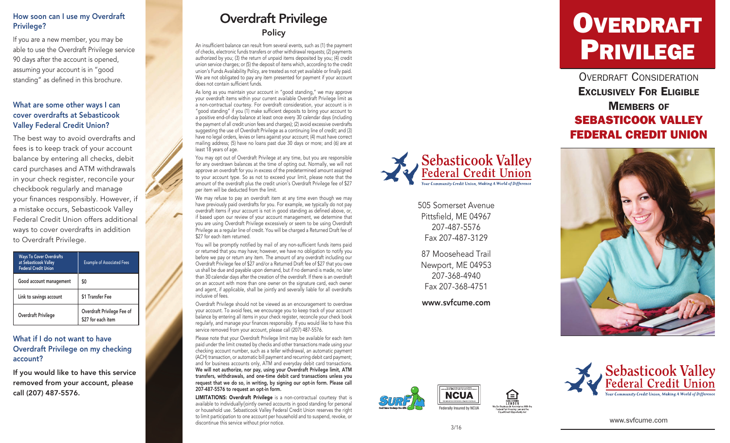# How soon can I use my Overdraft Privilege?

If you are a new member, you may be able to use the Overdraft Privilege service 90 days after the account is opened, assuming your account is in "good standing" as defined in this brochure.

## What are some other ways I can cover overdrafts at Sebasticook Valley Federal Credit Union?

The best way to avoid overdrafts and fees is to keep track of your account balance by entering all checks, debit card purchases and ATM withdrawals in your check register, reconcile your checkbook regularly and manage your finances responsibly. However, if a mistake occurs, Sebasticook Valley Federal Credit Union offers additional ways to cover overdrafts in addition to Overdraft Privilege.

| <b>Ways To Cover Overdrafts</b><br>at Sebasticook Valley<br><b>Federal Credit Union</b> | <b>Example of Associated Fees</b>                |
|-----------------------------------------------------------------------------------------|--------------------------------------------------|
| Good account management                                                                 | SO.                                              |
| Link to savings account                                                                 | \$1 Transfer Fee                                 |
| Overdraft Privilege                                                                     | Overdraft Privilege Fee of<br>\$27 for each item |

# What if I do not want to have Overdraft Privilege on my checking account?

If you would like to have this service removed from your account, please call (207) 487-5576.

# Overdraft Privilege **Policy**

An insufficient balance can result from several events, such as (1) the payment of checks, electronic funds transfers or other withdrawal requests; (2) payments authorized by you; (3) the return of unpaid items deposited by you; (4) credit union service charges; or (5) the deposit of items which, according to the credit union's Funds Availability Policy, are treated as not yet available or finally paid. We are not obligated to pay any item presented for payment if your account does not contain sufficient funds.

As long as you maintain your account in "good standing," we may approve your overdraft items within your current available Overdraft Privilege limit as a non-contractual courtesy. For overdraft consideration, your account is in "good standing" if you (1) make sufficient deposits to bring your account to a positive end-of-day balance at least once every 30 calendar days (including the payment of all credit union fees and charges); (2) avoid excessive overdrafts suggesting the use of Overdraft Privilege as a continuing line of credit; and (3) have no legal orders, levies or liens against your account; (4) must have correct mailing address; (5) have no loans past due 30 days or more; and (6) are at least 18 years of age.

You may opt out of Overdraft Privilege at any time, but you are responsible for any overdrawn balances at the time of opting out. Normally, we will not approve an overdraft for you in excess of the predetermined amount assigned to your account type. So as not to exceed your limit, please note that the amount of the overdraft plus the credit union's Overdraft Privilege fee of \$27 per item will be deducted from the limit.

We may refuse to pay an overdraft item at any time even though we may have previously paid overdrafts for you. For example, we typically do not pay overdraft items if your account is not in good standing as defined above, or, if based upon our review of your account management, we determine that you are using Overdraft Privilege excessively or seem to be using Overdraft Privilege as a regular line of credit. You will be charged a Returned Draft fee of \$27 for each item returned.

You will be promptly notified by mail of any non-sufficient funds items paid or returned that you may have; however, we have no obligation to notify you before we pay or return any item. The amount of any overdraft including our Overdraft Privilege fee of \$27 and/or a Returned Draft fee of \$27 that you owe us shall be due and payable upon demand, but if no demand is made, no later than 30 calendar days after the creation of the overdraft. If there is an overdraft on an account with more than one owner on the signature card, each owner and agent, if applicable, shall be jointly and severally liable for all overdrafts inclusive of fees.

Overdraft Privilege should not be viewed as an encouragement to overdraw your account. To avoid fees, we encourage you to keep track of your account balance by entering all items in your check register, reconcile your check book regularly, and manage your finances responsibly. If you would like to have this service removed from your account, please call (207) 487-5576.

Please note that your Overdraft Privilege limit may be available for each item paid under the limit created by checks and other transactions made using your checking account number, such as a teller withdrawal, an automatic payment (ACH) transaction, or automatic bill payment and recurring debit card payment; and for business accounts only, ATM and everyday debit card transactions. We will not authorize, nor pay, using your Overdraft Privilege limit, ATM transfers, withdrawals, and one-time debit card transactions unless you request that we do so, in writing, by signing our opt-in form. Please call 207-487-5576 to request an opt-in form.

LIMITATIONS: Overdraft Privilege is a non-contractual courtesy that is available to individually/jointly owned accounts in good standing for personal or household use. Sebasticook Valley Federal Credit Union reserves the right to limit participation to one account per household and to suspend, revoke, or discontinue this service without prior notice.



505 Somerset Avenue Pittsfield, ME 04967 207-487-5576 Fax 207-487-3129

87 Moosehead Trail Newport, ME 04953 207-368-4940 Fax 207-368-4751

www.svfcume.com

# OVERDRAFT<br>PRIVILEGE

OVERDRAFT CONSIDERATION Exclusively For Eligible **MEMBERS OF** SEBASTICOOK VALLEY FEDERAL CREDIT UN ION









www.svfcume.com